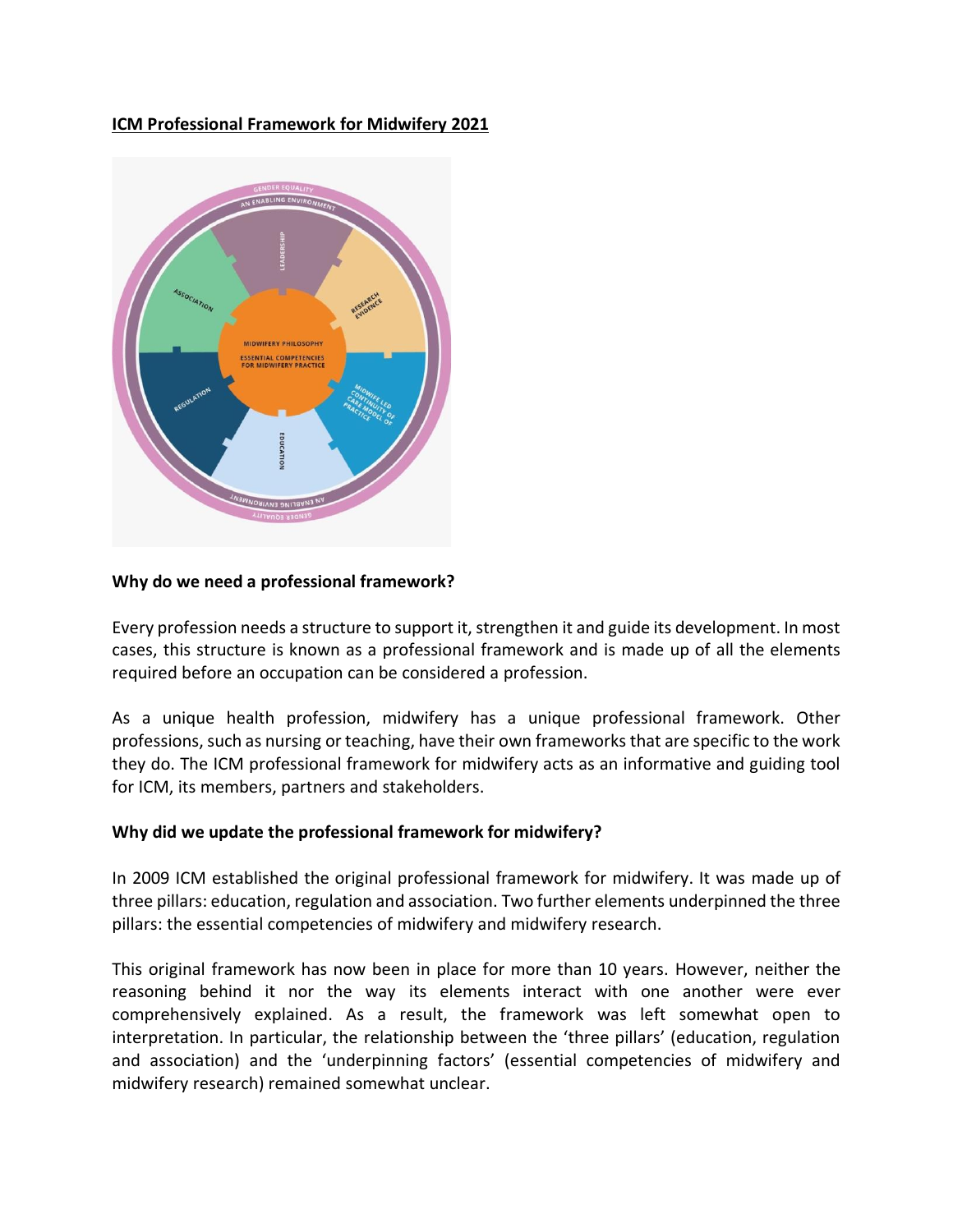### **ICM Professional Framework for Midwifery 2021**



#### **Why do we need a professional framework?**

Every profession needs a structure to support it, strengthen it and guide its development. In most cases, this structure is known as a professional framework and is made up of all the elements required before an occupation can be considered a profession.

As a unique health profession, midwifery has a unique professional framework. Other professions, such as nursing or teaching, have their own frameworks that are specific to the work they do. The ICM professional framework for midwifery acts as an informative and guiding tool for ICM, its members, partners and stakeholders.

#### **Why did we update the professional framework for midwifery?**

In 2009 ICM established the original professional framework for midwifery. It was made up of three pillars: education, regulation and association. Two further elements underpinned the three pillars: the essential competencies of midwifery and midwifery research.

This original framework has now been in place for more than 10 years. However, neither the reasoning behind it nor the way its elements interact with one another were ever comprehensively explained. As a result, the framework was left somewhat open to interpretation. In particular, the relationship between the 'three pillars' (education, regulation and association) and the 'underpinning factors' (essential competencies of midwifery and midwifery research) remained somewhat unclear.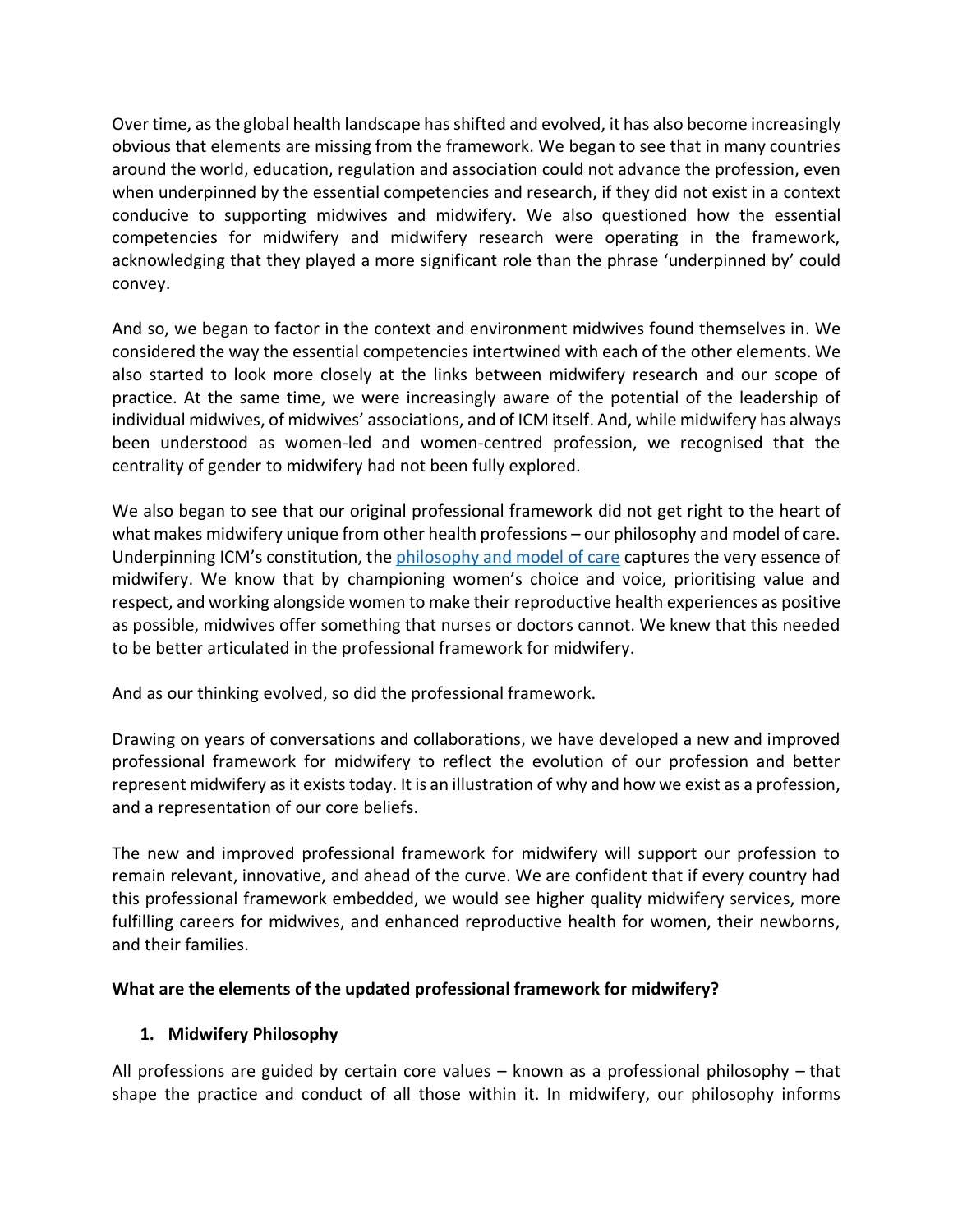Over time, as the global health landscape has shifted and evolved, it has also become increasingly obvious that elements are missing from the framework. We began to see that in many countries around the world, education, regulation and association could not advance the profession, even when underpinned by the essential competencies and research, if they did not exist in a context conducive to supporting midwives and midwifery. We also questioned how the essential competencies for midwifery and midwifery research were operating in the framework, acknowledging that they played a more significant role than the phrase 'underpinned by' could convey.

And so, we began to factor in the context and environment midwives found themselves in. We considered the way the essential competencies intertwined with each of the other elements. We also started to look more closely at the links between midwifery research and our scope of practice. At the same time, we were increasingly aware of the potential of the leadership of individual midwives, of midwives' associations, and of ICM itself. And, while midwifery has always been understood as women-led and women-centred profession, we recognised that the centrality of gender to midwifery had not been fully explored.

We also began to see that our original professional framework did not get right to the heart of what makes midwifery unique from other health professions – our philosophy and model of care. Underpinning ICM's constitution, th[e philosophy and model of care](https://www.internationalmidwives.org/assets/files/definitions-files/2018/06/eng-philosophy-and-model-of-midwifery-care.pdf) captures the very essence of midwifery. We know that by championing women's choice and voice, prioritising value and respect, and working alongside women to make their reproductive health experiences as positive as possible, midwives offer something that nurses or doctors cannot. We knew that this needed to be better articulated in the professional framework for midwifery.

And as our thinking evolved, so did the professional framework.

Drawing on years of conversations and collaborations, we have developed a new and improved professional framework for midwifery to reflect the evolution of our profession and better represent midwifery as it exists today. It is an illustration of why and how we exist as a profession, and a representation of our core beliefs.

The new and improved professional framework for midwifery will support our profession to remain relevant, innovative, and ahead of the curve. We are confident that if every country had this professional framework embedded, we would see higher quality midwifery services, more fulfilling careers for midwives, and enhanced reproductive health for women, their newborns, and their families.

# **What are the elements of the updated professional framework for midwifery?**

# **1. Midwifery Philosophy**

All professions are guided by certain core values – known as a professional philosophy – that shape the practice and conduct of all those within it. In midwifery, our philosophy informs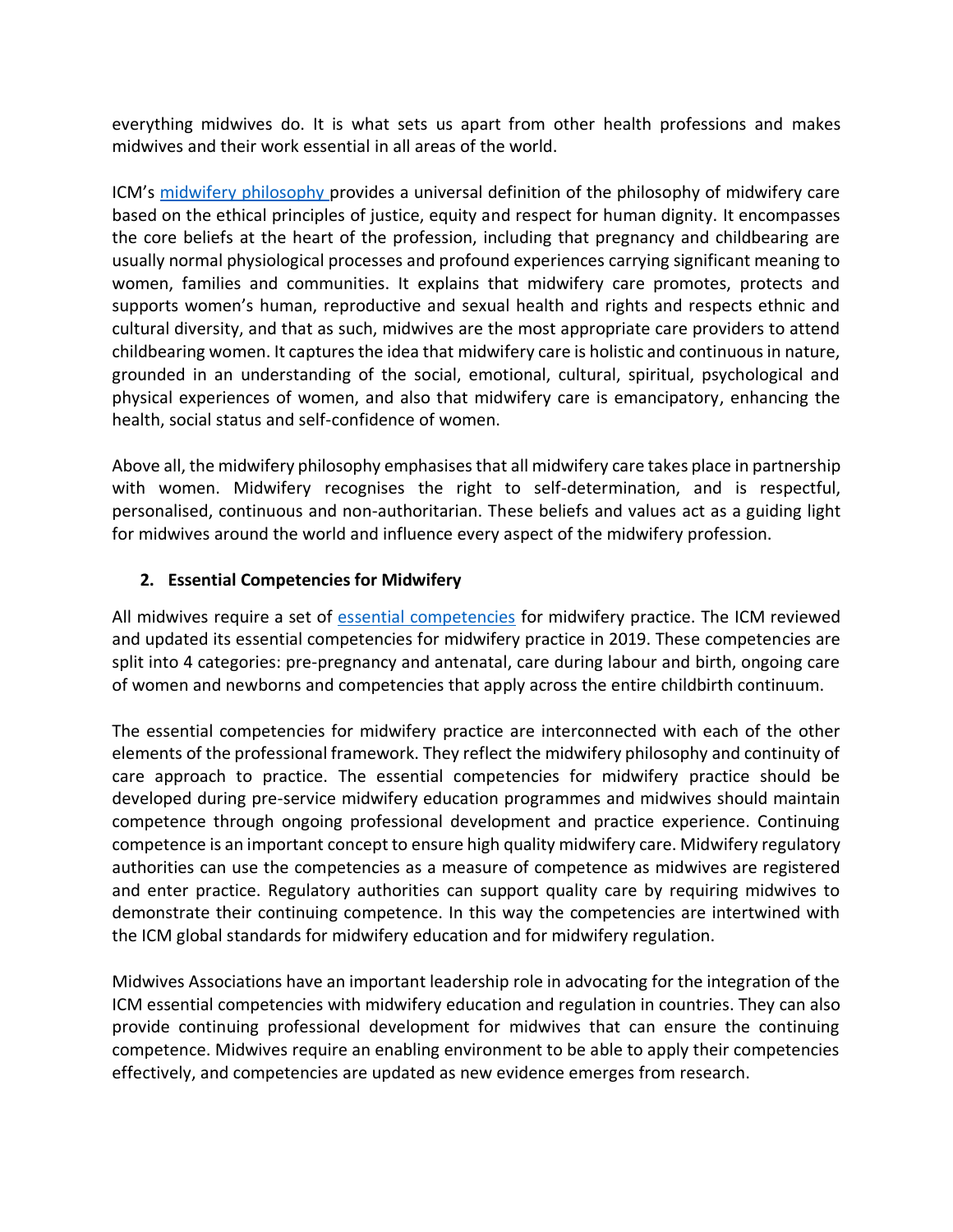everything midwives do. It is what sets us apart from other health professions and makes midwives and their work essential in all areas of the world.

ICM's [midwifery philosophy p](https://www.internationalmidwives.org/assets/files/definitions-files/2018/06/eng-philosophy-and-model-of-midwifery-care.pdf)rovides a universal definition of the philosophy of midwifery care based on the ethical principles of justice, equity and respect for human dignity. It encompasses the core beliefs at the heart of the profession, including that pregnancy and childbearing are usually normal physiological processes and profound experiences carrying significant meaning to women, families and communities. It explains that midwifery care promotes, protects and supports women's human, reproductive and sexual health and rights and respects ethnic and cultural diversity, and that as such, midwives are the most appropriate care providers to attend childbearing women. It captures the idea that midwifery care is holistic and continuous in nature, grounded in an understanding of the social, emotional, cultural, spiritual, psychological and physical experiences of women, and also that midwifery care is emancipatory, enhancing the health, social status and self-confidence of women.

Above all, the midwifery philosophy emphasises that all midwifery care takes place in partnership with women. Midwifery recognises the right to self-determination, and is respectful, personalised, continuous and non-authoritarian. These beliefs and values act as a guiding light for midwives around the world and influence every aspect of the midwifery profession.

### **2. Essential Competencies for Midwifery**

All midwives require a set of [essential competencies](https://www.internationalmidwives.org/our-work/policy-and-practice/essential-competencies-for-midwifery-practice.html) for midwifery practice. The ICM reviewed and updated its essential competencies for midwifery practice in 2019. These competencies are split into 4 categories: pre-pregnancy and antenatal, care during labour and birth, ongoing care of women and newborns and competencies that apply across the entire childbirth continuum.

The essential competencies for midwifery practice are interconnected with each of the other elements of the professional framework. They reflect the midwifery philosophy and continuity of care approach to practice. The essential competencies for midwifery practice should be developed during pre-service midwifery education programmes and midwives should maintain competence through ongoing professional development and practice experience. Continuing competence is an important concept to ensure high quality midwifery care. Midwifery regulatory authorities can use the competencies as a measure of competence as midwives are registered and enter practice. Regulatory authorities can support quality care by requiring midwives to demonstrate their continuing competence. In this way the competencies are intertwined with the ICM global standards for midwifery education and for midwifery regulation.

Midwives Associations have an important leadership role in advocating for the integration of the ICM essential competencies with midwifery education and regulation in countries. They can also provide continuing professional development for midwives that can ensure the continuing competence. Midwives require an enabling environment to be able to apply their competencies effectively, and competencies are updated as new evidence emerges from research.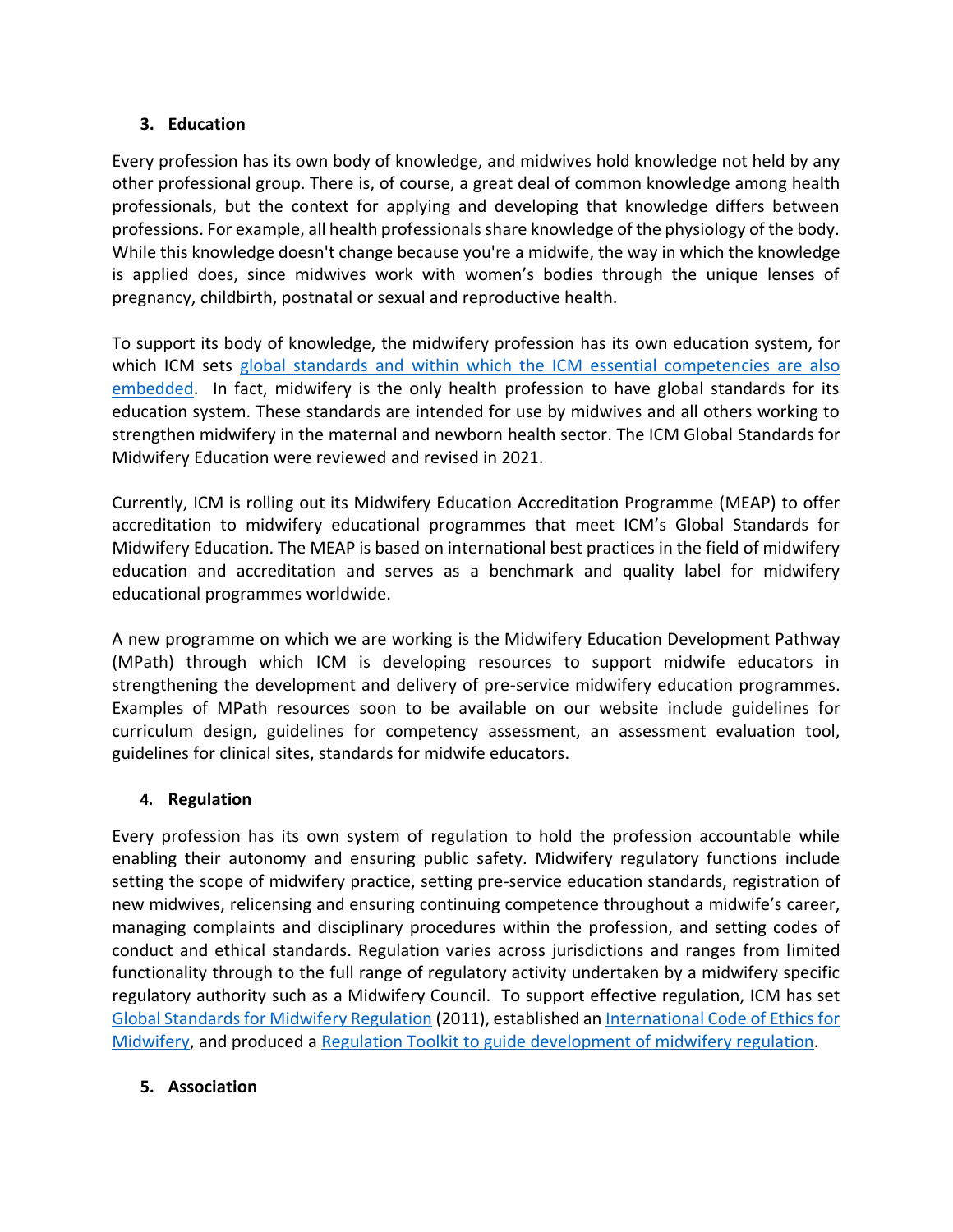# **3. Education**

Every profession has its own body of knowledge, and midwives hold knowledge not held by any other professional group. There is, of course, a great deal of common knowledge among health professionals, but the context for applying and developing that knowledge differs between professions. For example, all health professionals share knowledge of the physiology of the body. While this knowledge doesn't change because you're a midwife, the way in which the knowledge is applied does, since midwives work with women's bodies through the unique lenses of pregnancy, childbirth, postnatal or sexual and reproductive health.

To support its body of knowledge, the midwifery profession has its own education system, for which ICM sets [global standards](https://www.internationalmidwives.org/our-work/policy-and-practice/global-standards.html) and within which the ICM essential competencies are also embedded. In fact, midwifery is the only health profession to have global standards for its education system. These standards are intended for use by midwives and all others working to strengthen midwifery in the maternal and newborn health sector. The ICM Global Standards for Midwifery Education were reviewed and revised in 2021.

Currently, ICM is rolling out its Midwifery Education Accreditation Programme (MEAP) to offer accreditation to midwifery educational programmes that meet ICM's Global Standards for Midwifery Education. The MEAP is based on international best practices in the field of midwifery education and accreditation and serves as a benchmark and quality label for midwifery educational programmes worldwide.

A new programme on which we are working is the Midwifery Education Development Pathway (MPath) through which ICM is developing resources to support midwife educators in strengthening the development and delivery of pre-service midwifery education programmes. Examples of MPath resources soon to be available on our website include guidelines for curriculum design, guidelines for competency assessment, an assessment evaluation tool, guidelines for clinical sites, standards for midwife educators.

# **4. Regulation**

Every profession has its own system of regulation to hold the profession accountable while enabling their autonomy and ensuring public safety. Midwifery regulatory functions include setting the scope of midwifery practice, setting pre-service education standards, registration of new midwives, relicensing and ensuring continuing competence throughout a midwife's career, managing complaints and disciplinary procedures within the profession, and setting codes of conduct and ethical standards. Regulation varies across jurisdictions and ranges from limited functionality through to the full range of regulatory activity undertaken by a midwifery specific regulatory authority such as a Midwifery Council. To support effective regulation, ICM has set [Global Standards for Midwifery Regulation](https://internationalmidwives.org/assets/files/general-files/2018/04/global-standards-for-midwifery-regulation-eng.pdf) (2011), established an [International Code of Ethics for](https://www.internationalmidwives.org/assets/files/definitions-files/2018/06/eng-international-code-of-ethics-for-midwives.pdf)  [Midwifery,](https://www.internationalmidwives.org/assets/files/definitions-files/2018/06/eng-international-code-of-ethics-for-midwives.pdf) and produced a [Regulation Toolkit](https://www.internationalmidwives.org/assets/files/regulation-files/2018/04/icm_toolkit_eng.pdf) to guide development of midwifery regulation.

# **5. Association**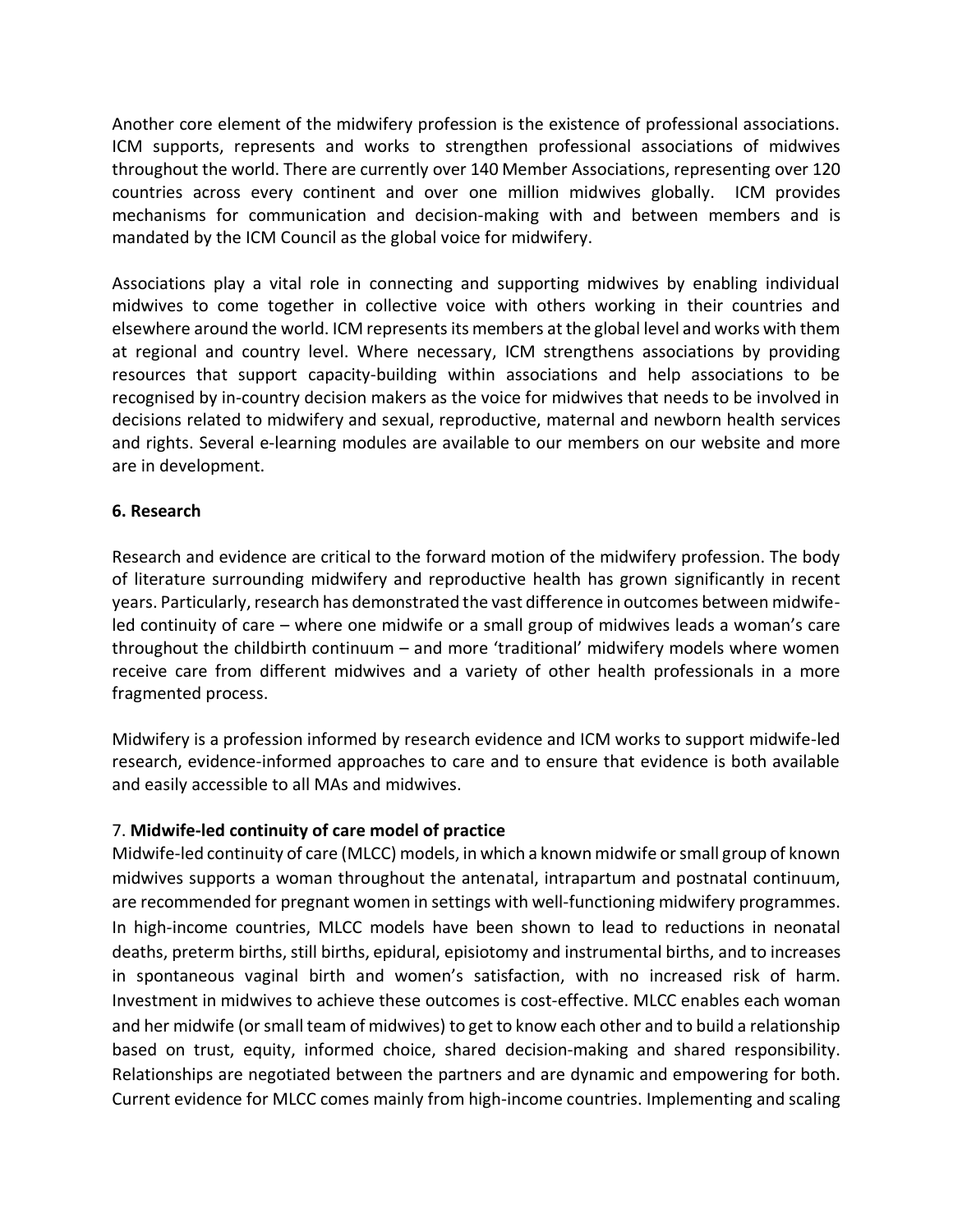Another core element of the midwifery profession is the existence of professional associations. ICM supports, represents and works to strengthen professional associations of midwives throughout the world. There are currently over 140 Member Associations, representing over 120 countries across every continent and over one million midwives globally. ICM provides mechanisms for communication and decision-making with and between members and is mandated by the ICM Council as the global voice for midwifery.

Associations play a vital role in connecting and supporting midwives by enabling individual midwives to come together in collective voice with others working in their countries and elsewhere around the world. ICM represents its members at the global level and works with them at regional and country level. Where necessary, ICM strengthens associations by providing resources that support capacity-building within associations and help associations to be recognised by in-country decision makers as the voice for midwives that needs to be involved in decisions related to midwifery and sexual, reproductive, maternal and newborn health services and rights. Several e-learning modules are available to our members on our website and more are in development.

# **6. Research**

Research and evidence are critical to the forward motion of the midwifery profession. The body of literature surrounding midwifery and reproductive health has grown significantly in recent years. Particularly, research has demonstrated the vast difference in outcomes between midwifeled continuity of care – where one midwife or a small group of midwives leads a woman's care throughout the childbirth continuum – and more 'traditional' midwifery models where women receive care from different midwives and a variety of other health professionals in a more fragmented process.

Midwifery is a profession informed by research evidence and ICM works to support midwife-led research, evidence-informed approaches to care and to ensure that evidence is both available and easily accessible to all MAs and midwives.

# 7. **Midwife-led continuity of care model of practice**

Midwife-led continuity of care (MLCC) models, in which a known midwife orsmall group of known midwives supports a woman throughout the antenatal, intrapartum and postnatal continuum, are recommended for pregnant women in settings with well-functioning midwifery programmes. In high-income countries, MLCC models have been shown to lead to reductions in neonatal deaths, preterm births, still births, epidural, episiotomy and instrumental births, and to increases in spontaneous vaginal birth and women's satisfaction, with no increased risk of harm. Investment in midwives to achieve these outcomes is cost-effective. MLCC enables each woman and her midwife (or small team of midwives) to get to know each other and to build a relationship based on trust, equity, informed choice, shared decision-making and shared responsibility. Relationships are negotiated between the partners and are dynamic and empowering for both. Current evidence for MLCC comes mainly from high-income countries. Implementing and scaling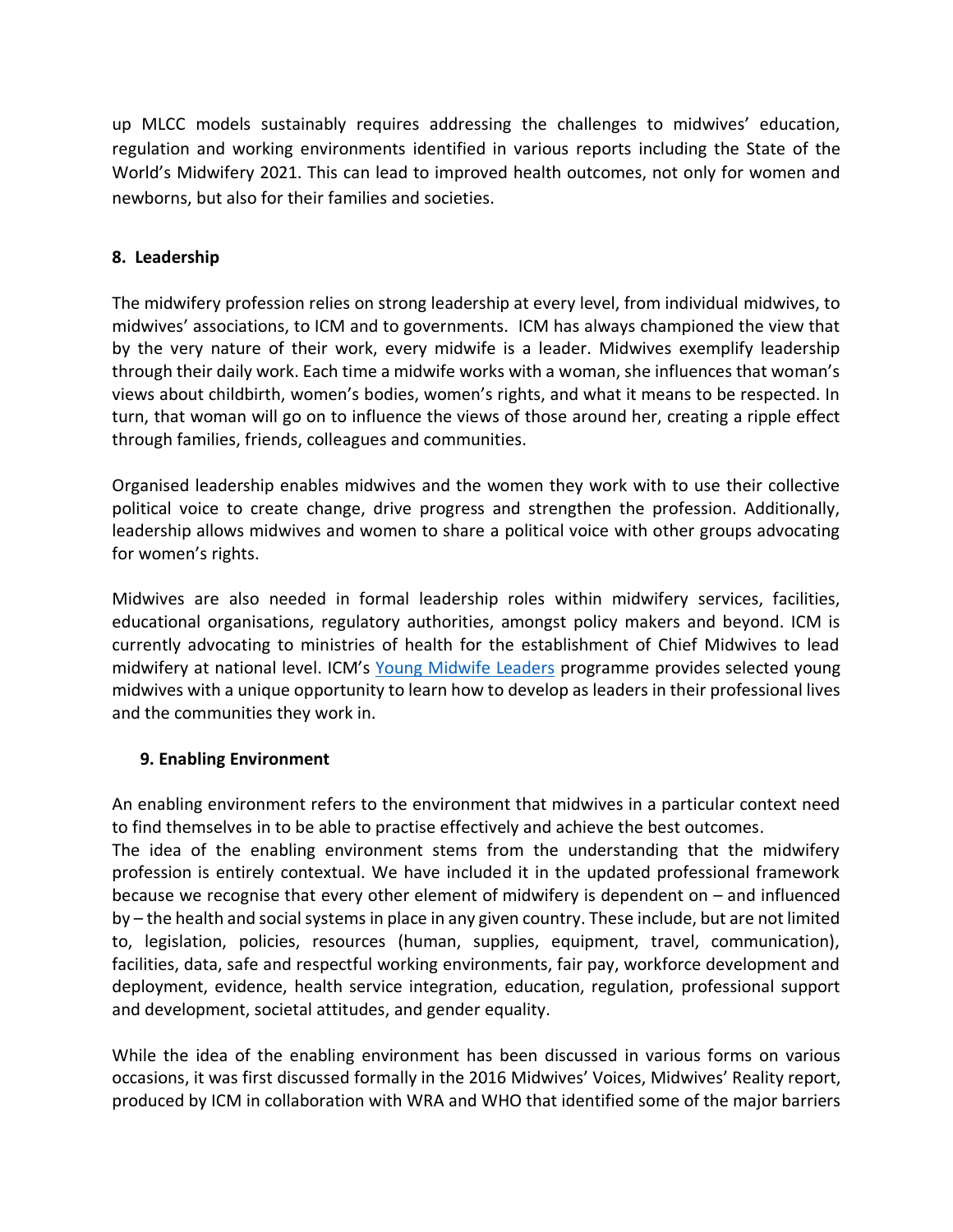up MLCC models sustainably requires addressing the challenges to midwives' education, regulation and working environments identified in various reports including the State of the World's Midwifery 2021. This can lead to improved health outcomes, not only for women and newborns, but also for their families and societies.

# **8. Leadership**

The midwifery profession relies on strong leadership at every level, from individual midwives, to midwives' associations, to ICM and to governments. ICM has always championed the view that by the very nature of their work, every midwife is a leader. Midwives exemplify leadership through their daily work. Each time a midwife works with a woman, she influences that woman's views about childbirth, women's bodies, women's rights, and what it means to be respected. In turn, that woman will go on to influence the views of those around her, creating a ripple effect through families, friends, colleagues and communities.

Organised leadership enables midwives and the women they work with to use their collective political voice to create change, drive progress and strengthen the profession. Additionally, leadership allows midwives and women to share a political voice with other groups advocating for women's rights.

Midwives are also needed in formal leadership roles within midwifery services, facilities, educational organisations, regulatory authorities, amongst policy makers and beyond. ICM is currently advocating to ministries of health for the establishment of Chief Midwives to lead midwifery at national level. ICM's [Young Midwife Leaders](https://internationalmidwives.org/icm-projects/young-midwife-leaders.html) programme provides selected young midwives with a unique opportunity to learn how to develop as leaders in their professional lives and the communities they work in.

# **9. Enabling Environment**

An enabling environment refers to the environment that midwives in a particular context need to find themselves in to be able to practise effectively and achieve the best outcomes.

The idea of the enabling environment stems from the understanding that the midwifery profession is entirely contextual. We have included it in the updated professional framework because we recognise that every other element of midwifery is dependent on – and influenced by – the health and social systems in place in any given country. These include, but are not limited to, legislation, policies, resources (human, supplies, equipment, travel, communication), facilities, data, safe and respectful working environments, fair pay, workforce development and deployment, evidence, health service integration, education, regulation, professional support and development, societal attitudes, and gender equality.

While the idea of the enabling environment has been discussed in various forms on various occasions, it was first discussed formally in the 2016 Midwives' Voices, Midwives' Reality report, produced by ICM in collaboration with WRA and WHO that identified some of the major barriers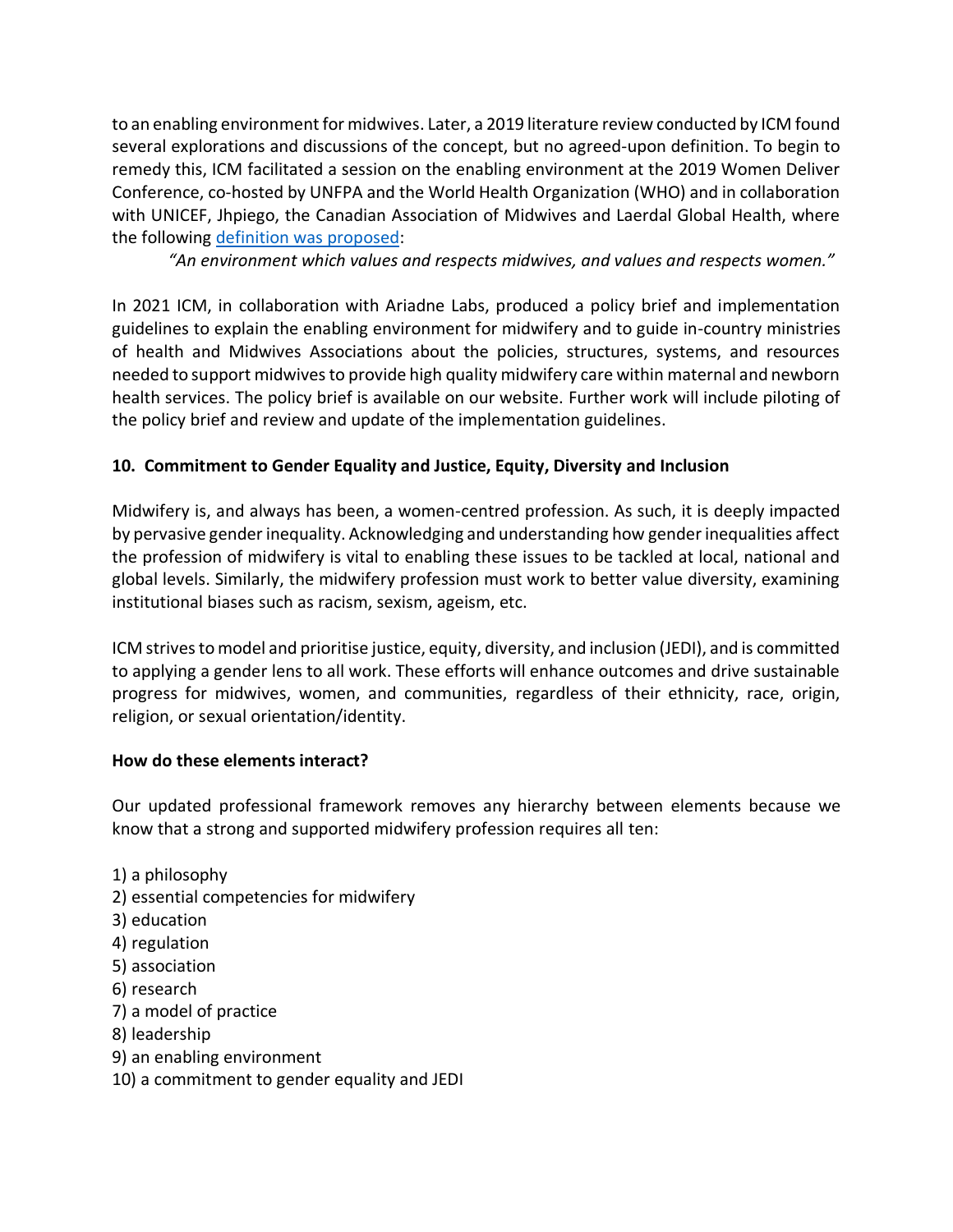to an enabling environment for midwives. Later, a 2019 literature review conducted by ICM found several explorations and discussions of the concept, but no agreed-upon definition. To begin to remedy this, ICM facilitated a session on the enabling environment at the 2019 Women Deliver Conference, co-hosted by UNFPA and the World Health Organization (WHO) and in collaboration with UNICEF, Jhpiego, the Canadian Association of Midwives and Laerdal Global Health, where the following definition [was proposed:](https://www.unfpa.org/sites/default/files/event-pdf/Call_to_Action.MwSymp.2June2019.pdf)

*"An environment which values and respects midwives, and values and respects women."*

In 2021 ICM, in collaboration with Ariadne Labs, produced a policy brief and implementation guidelines to explain the enabling environment for midwifery and to guide in-country ministries of health and Midwives Associations about the policies, structures, systems, and resources needed to support midwives to provide high quality midwifery care within maternal and newborn health services. The policy brief is available on our website. Further work will include piloting of the policy brief and review and update of the implementation guidelines.

# **10. Commitment to Gender Equality and Justice, Equity, Diversity and Inclusion**

Midwifery is, and always has been, a women-centred profession. As such, it is deeply impacted by pervasive gender inequality. Acknowledging and understanding how gender inequalities affect the profession of midwifery is vital to enabling these issues to be tackled at local, national and global levels. Similarly, the midwifery profession must work to better value diversity, examining institutional biases such as racism, sexism, ageism, etc.

ICM strives to model and prioritise justice, equity, diversity, and inclusion (JEDI), and is committed to applying a gender lens to all work. These efforts will enhance outcomes and drive sustainable progress for midwives, women, and communities, regardless of their ethnicity, race, origin, religion, or sexual orientation/identity.

#### **How do these elements interact?**

Our updated professional framework removes any hierarchy between elements because we know that a strong and supported midwifery profession requires all ten:

1) a philosophy 2) essential competencies for midwifery 3) education 4) regulation 5) association 6) research 7) a model of practice 8) leadership 9) an enabling environment 10) a commitment to gender equality and JEDI